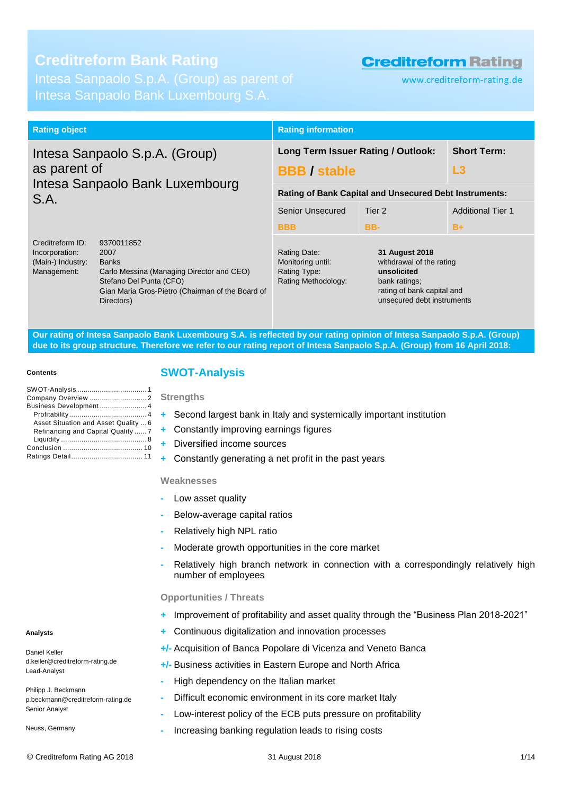# **Creditreform Bank Rating**

Intesa Sanpaolo Bank Luxembourg S.A.

# **Creditreform Rating**

www.creditreform-rating.de

| <b>Rating object</b>                                                   |                                                                                                                                                                              | <b>Rating information</b>                                                |                                                                                                                                        |      |  |  |
|------------------------------------------------------------------------|------------------------------------------------------------------------------------------------------------------------------------------------------------------------------|--------------------------------------------------------------------------|----------------------------------------------------------------------------------------------------------------------------------------|------|--|--|
| Intesa Sanpaolo S.p.A. (Group)<br>as parent of                         |                                                                                                                                                                              | Long Term Issuer Rating / Outlook:<br><b>BBB</b> / stable                | <b>Short Term:</b><br>L3                                                                                                               |      |  |  |
| Intesa Sanpaolo Bank Luxembourg<br>S.A.                                | <b>Rating of Bank Capital and Unsecured Debt Instruments:</b>                                                                                                                |                                                                          |                                                                                                                                        |      |  |  |
|                                                                        | Senior Unsecured                                                                                                                                                             | Tier 2                                                                   | <b>Additional Tier 1</b>                                                                                                               |      |  |  |
|                                                                        |                                                                                                                                                                              | <b>BBB</b>                                                               | BB-                                                                                                                                    | $B+$ |  |  |
| Creditreform ID:<br>Incorporation:<br>(Main-) Industry:<br>Management: | 9370011852<br>2007<br><b>Banks</b><br>Carlo Messina (Managing Director and CEO)<br>Stefano Del Punta (CFO)<br>Gian Maria Gros-Pietro (Chairman of the Board of<br>Directors) | Rating Date:<br>Monitoring until:<br>Rating Type:<br>Rating Methodology: | 31 August 2018<br>withdrawal of the rating<br>unsolicited<br>bank ratings;<br>rating of bank capital and<br>unsecured debt instruments |      |  |  |

**Our rating of Intesa Sanpaolo Bank Luxembourg S.A. is reflected by our rating opinion of Intesa Sanpaolo S.p.A. (Group) due to its group structure. Therefore we refer to our rating report of Intesa Sanpaolo S.p.A. (Group) from 16 April 2018:**

#### **Contents**

| Business Development 4               |  |
|--------------------------------------|--|
|                                      |  |
| Asset Situation and Asset Quality  6 |  |
| Refinancing and Capital Quality  7   |  |
|                                      |  |
|                                      |  |
|                                      |  |

# <span id="page-0-0"></span>**SWOT-Analysis**

### **Strengths**

- **+** Second largest bank in Italy and systemically important institution
- **+** Constantly improving earnings figures
- **+** Diversified income sources
- **+** Constantly generating a net profit in the past years

### **Weaknesses**

- **-** Low asset quality
- **-** Below-average capital ratios
- **-** Relatively high NPL ratio
- **-** Moderate growth opportunities in the core market
- **-** Relatively high branch network in connection with a correspondingly relatively high number of employees

### **Opportunities / Threats**

- **+** Improvement of profitability and asset quality through the "Business Plan 2018-2021"
- **+** Continuous digitalization and innovation processes
- **+/-** Acquisition of Banca Popolare di Vicenza and Veneto Banca
- **+/-** Business activities in Eastern Europe and North Africa
- **-** High dependency on the Italian market
- **-** Difficult economic environment in its core market Italy
- **-** Low-interest policy of the ECB puts pressure on profitability
- **-** Increasing banking regulation leads to rising costs

Daniel Keller d.keller@creditreform-rating.de Lead-Analyst

Philipp J. Beckmann p.beckmann@creditreform-rating.de Senior Analyst

Neuss, Germany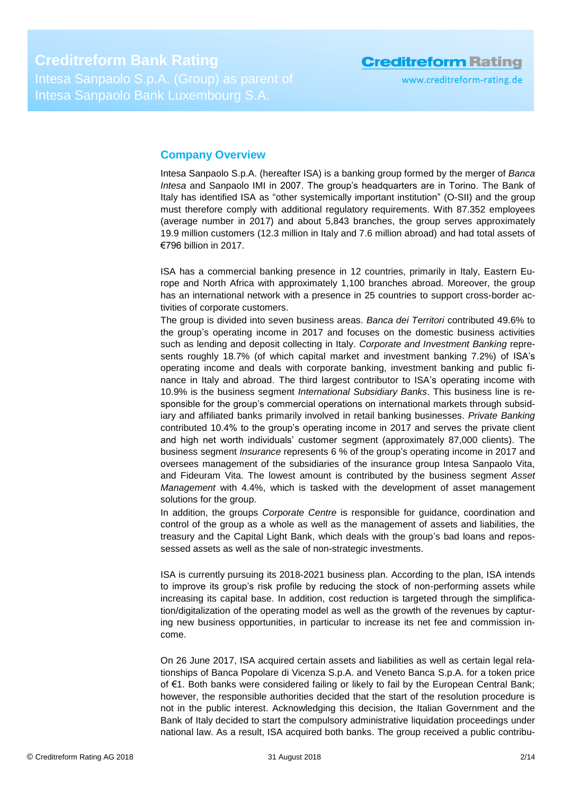# <span id="page-1-0"></span>**Company Overview**

Intesa Sanpaolo S.p.A. (hereafter ISA) is a banking group formed by the merger of *Banca Intesa* and Sanpaolo IMI in 2007. The group's headquarters are in Torino. The Bank of Italy has identified ISA as "other systemically important institution" (O-SII) and the group must therefore comply with additional regulatory requirements. With 87.352 employees (average number in 2017) and about 5,843 branches, the group serves approximately 19.9 million customers (12.3 million in Italy and 7.6 million abroad) and had total assets of €796 billion in 2017.

ISA has a commercial banking presence in 12 countries, primarily in Italy, Eastern Europe and North Africa with approximately 1,100 branches abroad. Moreover, the group has an international network with a presence in 25 countries to support cross-border activities of corporate customers.

The group is divided into seven business areas. *Banca dei Territori* contributed 49.6% to the group's operating income in 2017 and focuses on the domestic business activities such as lending and deposit collecting in Italy. *Corporate and Investment Banking* represents roughly 18.7% (of which capital market and investment banking 7.2%) of ISA's operating income and deals with corporate banking, investment banking and public finance in Italy and abroad. The third largest contributor to ISA's operating income with 10.9% is the business segment *International Subsidiary Banks*. This business line is responsible for the group's commercial operations on international markets through subsidiary and affiliated banks primarily involved in retail banking businesses. *Private Banking* contributed 10.4% to the group's operating income in 2017 and serves the private client and high net worth individuals' customer segment (approximately 87,000 clients). The business segment *Insurance* represents 6 % of the group's operating income in 2017 and oversees management of the subsidiaries of the insurance group Intesa Sanpaolo Vita, and Fideuram Vita. The lowest amount is contributed by the business segment *Asset Management* with 4.4%, which is tasked with the development of asset management solutions for the group.

In addition, the groups *Corporate Centre* is responsible for guidance, coordination and control of the group as a whole as well as the management of assets and liabilities, the treasury and the Capital Light Bank, which deals with the group's bad loans and repossessed assets as well as the sale of non-strategic investments.

ISA is currently pursuing its 2018-2021 business plan. According to the plan, ISA intends to improve its group's risk profile by reducing the stock of non-performing assets while increasing its capital base. In addition, cost reduction is targeted through the simplification/digitalization of the operating model as well as the growth of the revenues by capturing new business opportunities, in particular to increase its net fee and commission income.

On 26 June 2017, ISA acquired certain assets and liabilities as well as certain legal relationships of Banca Popolare di Vicenza S.p.A. and Veneto Banca S.p.A. for a token price of €1. Both banks were considered failing or likely to fail by the European Central Bank; however, the responsible authorities decided that the start of the resolution procedure is not in the public interest. Acknowledging this decision, the Italian Government and the Bank of Italy decided to start the compulsory administrative liquidation proceedings under national law. As a result, ISA acquired both banks. The group received a public contribu-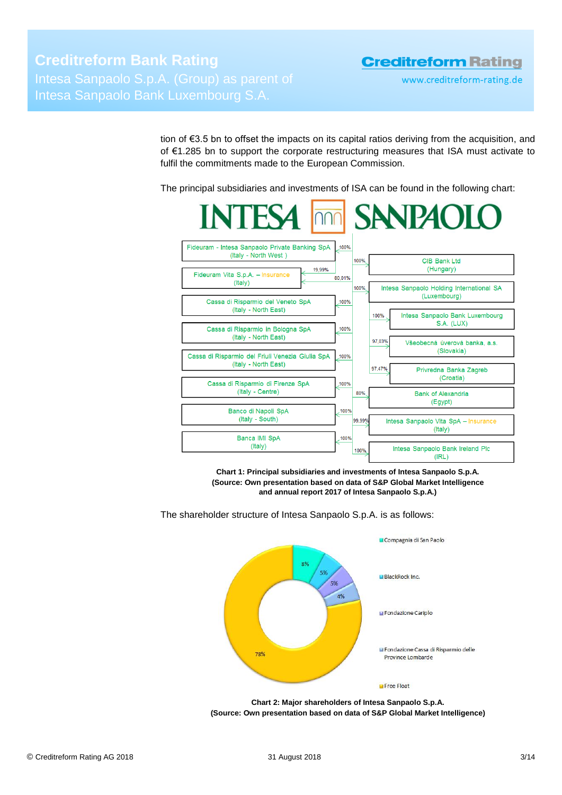tion of €3.5 bn to offset the impacts on its capital ratios deriving from the acquisition, and of €1.285 bn to support the corporate restructuring measures that ISA must activate to fulfil the commitments made to the European Commission.

The principal subsidiaries and investments of ISA can be found in the following chart:



**Chart 1: Principal subsidiaries and investments of Intesa Sanpaolo S.p.A. (Source: Own presentation based on data of S&P Global Market Intelligence and annual report 2017 of Intesa Sanpaolo S.p.A.)**

La Compagnia di San Paolo  $96<sub>6</sub>$ **Li BlackBock Inc.** 5% 4% Fondazione Cariplo **u** Fondazione Cassa di Risparmio delle 78% Province Lombarde Free Float

The shareholder structure of Intesa Sanpaolo S.p.A. is as follows:

**Chart 2: Major shareholders of Intesa Sanpaolo S.p.A. (Source: Own presentation based on data of S&P Global Market Intelligence)**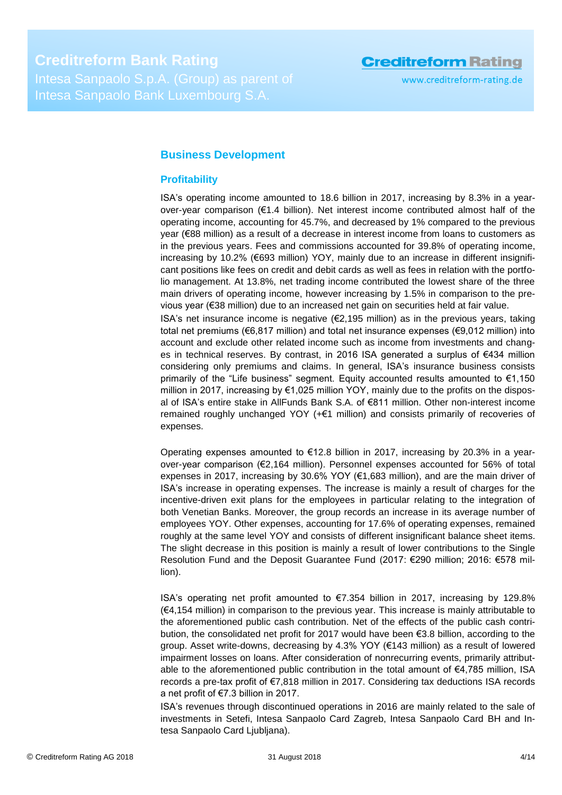# <span id="page-3-0"></span>**Business Development**

## <span id="page-3-1"></span>**Profitability**

ISA's operating income amounted to 18.6 billion in 2017, increasing by 8.3% in a yearover-year comparison (€1.4 billion). Net interest income contributed almost half of the operating income, accounting for 45.7%, and decreased by 1% compared to the previous year (€88 million) as a result of a decrease in interest income from loans to customers as in the previous years. Fees and commissions accounted for 39.8% of operating income, increasing by 10.2% (€693 million) YOY, mainly due to an increase in different insignificant positions like fees on credit and debit cards as well as fees in relation with the portfolio management. At 13.8%, net trading income contributed the lowest share of the three main drivers of operating income, however increasing by 1.5% in comparison to the previous year (€38 million) due to an increased net gain on securities held at fair value.

ISA's net insurance income is negative  $(E2, 195$  million) as in the previous years, taking total net premiums (€6,817 million) and total net insurance expenses (€9,012 million) into account and exclude other related income such as income from investments and changes in technical reserves. By contrast, in 2016 ISA generated a surplus of €434 million considering only premiums and claims. In general, ISA's insurance business consists primarily of the "Life business" segment. Equity accounted results amounted to  $\epsilon$ 1,150 million in 2017, increasing by €1,025 million YOY, mainly due to the profits on the disposal of ISA's entire stake in AllFunds Bank S.A. of €811 million. Other non-interest income remained roughly unchanged YOY (+€1 million) and consists primarily of recoveries of expenses.

Operating expenses amounted to  $E$ 12.8 billion in 2017, increasing by 20.3% in a yearover-year comparison (€2,164 million). Personnel expenses accounted for 56% of total expenses in 2017, increasing by 30.6% YOY (€1,683 million), and are the main driver of ISA's increase in operating expenses. The increase is mainly a result of charges for the incentive-driven exit plans for the employees in particular relating to the integration of both Venetian Banks. Moreover, the group records an increase in its average number of employees YOY. Other expenses, accounting for 17.6% of operating expenses, remained roughly at the same level YOY and consists of different insignificant balance sheet items. The slight decrease in this position is mainly a result of lower contributions to the Single Resolution Fund and the Deposit Guarantee Fund (2017: €290 million; 2016: €578 million).

ISA's operating net profit amounted to €7.354 billion in 2017, increasing by 129.8% (€4,154 million) in comparison to the previous year. This increase is mainly attributable to the aforementioned public cash contribution. Net of the effects of the public cash contribution, the consolidated net profit for 2017 would have been €3.8 billion, according to the group. Asset write-downs, decreasing by 4.3% YOY (€143 million) as a result of lowered impairment losses on loans. After consideration of nonrecurring events, primarily attributable to the aforementioned public contribution in the total amount of €4,785 million, ISA records a pre-tax profit of €7,818 million in 2017. Considering tax deductions ISA records a net profit of €7.3 billion in 2017.

ISA's revenues through discontinued operations in 2016 are mainly related to the sale of investments in Setefi, Intesa Sanpaolo Card Zagreb, Intesa Sanpaolo Card BH and Intesa Sanpaolo Card Ljubljana).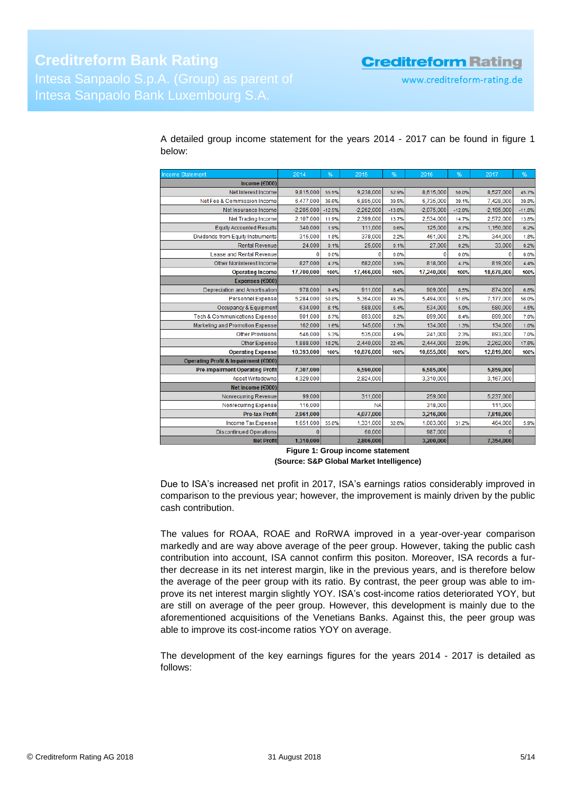| <b>Income Statement</b>                  | 2014         | %        | 2015         | %        | 2016         | %        | 2017         | %        |
|------------------------------------------|--------------|----------|--------------|----------|--------------|----------|--------------|----------|
| Income ( $€000$ )                        |              |          |              |          |              |          |              |          |
| Net Interest Income                      | 9,815,000    | 55.5%    | 9,238,000    | 52.9%    | 8,615,000    | 50.0%    | 8,527,000    | 45.7%    |
| Net Fee & Commission Income              | 6.477.000    | 36.6%    | 6,895,000    | 39.5%    | 6.735.000    | 39.1%    | 7,428,000    | 39.8%    |
| Net Insurance Income                     | $-2,205,000$ | $-12.5%$ | $-2,262,000$ | $-13.0%$ | $-2,075,000$ | $-12.0%$ | $-2,195,000$ | $-11.8%$ |
| <b>Net Trading Income</b>                | 2,107,000    | 11.9%    | 2,399,000    | 13.7%    | 2,534,000    | 14.7%    | 2,572,000    | 13.8%    |
| <b>Equity Accounted Results</b>          | 340,000      | 1.9%     | 111,000      | 0.6%     | 125,000      | 0.7%     | 1,150,000    | 6.2%     |
| Dividends from Equity Instruments        | 315,000      | 1.8%     | 378,000      | 2.2%     | 461,000      | 2.7%     | 344,000      | 1.8%     |
| <b>Rental Revenue</b>                    | 24,000       | 0.1%     | 25,000       | 0.1%     | 27,000       | 0.2%     | 33,000       | 0.2%     |
| Lease and Rental Revenue                 | o            | 0.0%     |              | 0.0%     | 0            | 0.0%     | 0            | 0.0%     |
| Other Noninterest Income                 | 827,000      | 4.7%     | 682,000      | 3.9%     | 818,000      | 4.7%     | 819,000      | 4.4%     |
| <b>Operating Income</b>                  | 17,700,000   | 100%     | 17,466,000   | 100%     | 17,240,000   | 100%     | 18,678,000   | 100%     |
| Expenses (€000)                          |              |          |              |          |              |          |              |          |
| Depreciation and Amortisation            | 978,000      | 9.4%     | 911,000      | 8.4%     | 909,000      | 8.5%     | 874,000      | 6.8%     |
| <b>Personnel Expense</b>                 | 5,284,000    | 50.8%    | 5,364,000    | 49.3%    | 5,494,000    | 51.6%    | 7,177,000    | 56.0%    |
| Occupancy & Equipment                    | 634,000      | 6.1%     | 588,000      | 5.4%     | 534.000      | 5.0%     | 580,000      | 4.5%     |
| <b>Tech &amp; Communications Expense</b> | 901.000      | 8.7%     | 893,000      | 8.2%     | 899,000      | 8.4%     | 899,000      | 7.0%     |
| Marketing and Promotion Expense          | 162,000      | 1.6%     | 145,000      | 1.3%     | 134,000      | 1.3%     | 134,000      | 1.0%     |
| <b>Other Provisions</b>                  | 546,000      | 5.3%     | 535,000      | 4.9%     | 241.000      | 2.3%     | 893,000      | 7.0%     |
| Other Expense                            | 1,888,000    | 18.2%    | 2,440,000    | 22.4%    | 2,444,000    | 22.9%    | 2,262,000    | 17.6%    |
| <b>Operating Expense</b>                 | 10,393,000   | 100%     | 10,876,000   | 100%     | 10,655,000   | 100%     | 12,819,000   | 100%     |
| Operating Profit & Impairment (€000)     |              |          |              |          |              |          |              |          |
| <b>Pre-impairment Operating Profit</b>   | 7,307,000    |          | 6,590,000    |          | 6,585,000    |          | 5,859,000    |          |
| <b>Asset Writedowns</b>                  | 4,329,000    |          | 2,824,000    |          | 3,310,000    |          | 3,167,000    |          |
| Net Income (€000)                        |              |          |              |          |              |          |              |          |
| Nonrecurring Revenue                     | 99,000       |          | 311,000      |          | 259,000      |          | 5,237,000    |          |
| Nonrecurring Expense                     | 116,000      |          | <b>NA</b>    |          | 318,000      |          | 111,000      |          |
| <b>Pre-tax Profit</b>                    | 2,961,000    |          | 4,077,000    |          | 3,216,000    |          | 7,818,000    |          |
| Income Tax Expense                       | 1,651,000    | 55.8%    | 1,331,000    | 32.6%    | 1,003,000    | 31.2%    | 464,000      | 5.9%     |
| <b>Discontinued Operations</b>           | $\Omega$     |          | 60,000       |          | 987,000      |          | $\Omega$     |          |
| <b>Net Profit</b>                        | 1,310,000    |          | 2,806,000    |          | 3,200,000    |          | 7,354,000    |          |

A detailed group income statement for the years 2014 - 2017 can be found in figure 1 below:

> **Figure 1: Group income statement (Source: S&P Global Market Intelligence)**

Due to ISA's increased net profit in 2017, ISA's earnings ratios considerably improved in comparison to the previous year; however, the improvement is mainly driven by the public cash contribution.

The values for ROAA, ROAE and RoRWA improved in a year-over-year comparison markedly and are way above average of the peer group. However, taking the public cash contribution into account, ISA cannot confirm this positon. Moreover, ISA records a further decrease in its net interest margin, like in the previous years, and is therefore below the average of the peer group with its ratio. By contrast, the peer group was able to improve its net interest margin slightly YOY. ISA's cost-income ratios deteriorated YOY, but are still on average of the peer group. However, this development is mainly due to the aforementioned acquisitions of the Venetians Banks. Against this, the peer group was able to improve its cost-income ratios YOY on average.

The development of the key earnings figures for the years 2014 - 2017 is detailed as follows: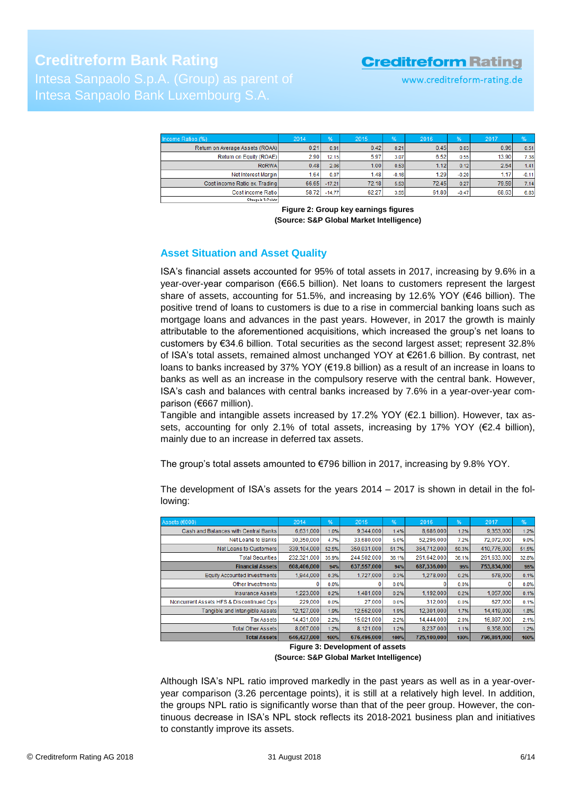| Income Ratios (%)               | 2014  | %        | 2015  | $\frac{9}{6}$ | 2016  | %       | 2017  | %       |
|---------------------------------|-------|----------|-------|---------------|-------|---------|-------|---------|
| Return on Average Assets (ROAA) | 0.21  | 0.91     | 0.42  | 0.21          | 0.45  | 0.03    | 0.96  | 0.51    |
| Return on Equity (ROAE)         | 2.90  | 12.15    | 5.97  | 3.07          | 6.52  | 0.55    | 13.90 | 7.38    |
| RoRWA                           | 0.48  | 2.06     | 1.00  | 0.53          | 1.12  | 0.12    | 2.54  | 1.41    |
| Net Interest Margin             | 1.64  | 0.07     | 1.48  | $-0.16$       | 1.29  | $-0.20$ | 1.17  | $-0.11$ |
| Cost income Ratio ex. Trading   | 66.65 | $-17.21$ | 72.18 | 5.53          | 72.45 | 0.27    | 79.59 | 7.14    |
| Cost income Ratiol              | 58.72 | $-14.77$ | 62.27 | 3.55          | 61.80 | $-0.47$ | 68.63 | 6.83    |
| .                               |       |          |       |               |       |         |       |         |

**Figure 2: Group key earnings figures (Source: S&P Global Market Intelligence)**

# <span id="page-5-0"></span>**Asset Situation and Asset Quality**

ISA's financial assets accounted for 95% of total assets in 2017, increasing by 9.6% in a year-over-year comparison (€66.5 billion). Net loans to customers represent the largest share of assets, accounting for 51.5%, and increasing by 12.6% YOY ( $\epsilon$ 46 billion). The positive trend of loans to customers is due to a rise in commercial banking loans such as mortgage loans and advances in the past years. However, in 2017 the growth is mainly attributable to the aforementioned acquisitions, which increased the group's net loans to customers by €34.6 billion. Total securities as the second largest asset; represent 32.8% of ISA's total assets, remained almost unchanged YOY at €261.6 billion. By contrast, net loans to banks increased by 37% YOY (€19.8 billion) as a result of an increase in loans to banks as well as an increase in the compulsory reserve with the central bank. However, ISA's cash and balances with central banks increased by 7.6% in a year-over-year comparison (€667 million).

Tangible and intangible assets increased by 17.2% YOY ( $\epsilon$ 2.1 billion). However, tax assets, accounting for only 2.1% of total assets, increasing by 17% YOY ( $E2.4$  billion), mainly due to an increase in deferred tax assets.

The group's total assets amounted to €796 billion in 2017, increasing by 9.8% YOY.

| Assets (€000)                            | 2014        | %     | 2015        | %     | 2016        | %     | 2017        | %     |
|------------------------------------------|-------------|-------|-------------|-------|-------------|-------|-------------|-------|
| Cash and Balances with Central Banks     | 6,631,000   | 1.0%  | 9.344.000   | 1.4%  | 8,686,000   | 1.2%  | 9.353.000   | 1.2%  |
| Net Loans to Banks                       | 30,350,000  | 4.7%  | 33,680,000  | 5.0%  | 52,296,000  | 7.2%  | 72,072,000  | 9.0%  |
| Net Loans to Customers                   | 339,104,000 | 52.5% | 350,031,000 | 51.7% | 364,712,000 | 50.3% | 410,776,000 | 51.5% |
| <b>Total Securities</b>                  | 232,321,000 | 35.9% | 244,502,000 | 36.1% | 261,642,000 | 36.1% | 261,633,000 | 32.8% |
| <b>Financial Assets</b>                  | 608,406,000 | 94%   | 637,557,000 | 94%   | 687,336,000 | 95%   | 753,834,000 | 95%   |
| Equity Accounted Investments             | 1.944.000   | 0.3%  | 1,727,000   | 0.3%  | 1,278,000   | 0.2%  | 678,000     | 0.1%  |
| Other Investments                        |             | 0.0%  |             | 0.0%  |             | 0.0%  |             | 0.0%  |
| Insurance Assets                         | 1.223.000   | 0.2%  | 1,481,000   | 0.2%  | 1,192,000   | 0.2%  | 1.057.000   | 0.1%  |
| Noncurrent Assets HFS & Discontinued Ops | 229,000     | 0.0%  | 27,000      | 0.0%  | 312,000     | 0.0%  | 627,000     | 0.1%  |
| Tangible and Intangible Assets           | 12.127.000  | 1.9%  | 12,562,000  | 1.9%  | 12.301.000  | 1.7%  | 14.419,000  | 1.8%  |
| Tax Assets                               | 14.431.000  | 2.2%  | 15,021,000  | 2.2%  | 14.444.000  | 2.0%  | 16,887,000  | 2.1%  |
| <b>Total Other Assets</b>                | 8.067.000   | 1.2%  | 8.121.000   | 1.2%  | 8.237.000   | 1.1%  | 9,358,000   | 1.2%  |
| <b>Total Assets</b>                      | 646,427,000 | 100%  | 676,496,000 | 100%  | 725,100,000 | 100%  | 796,861,000 | 100%  |

The development of ISA's assets for the years  $2014 - 2017$  is shown in detail in the following:

> **Figure 3: Development of assets (Source: S&P Global Market Intelligence)**

Although ISA's NPL ratio improved markedly in the past years as well as in a year-overyear comparison (3.26 percentage points), it is still at a relatively high level. In addition, the groups NPL ratio is significantly worse than that of the peer group. However, the continuous decrease in ISA's NPL stock reflects its 2018-2021 business plan and initiatives to constantly improve its assets.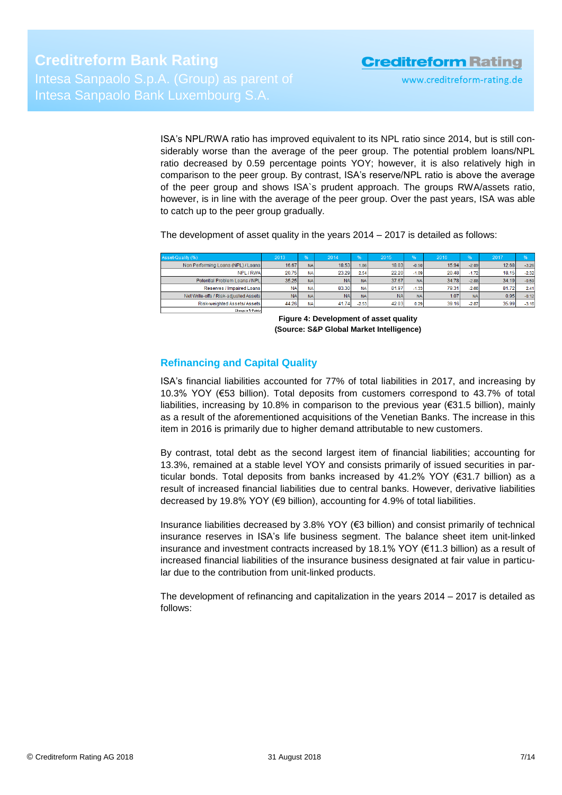ISA's NPL/RWA ratio has improved equivalent to its NPL ratio since 2014, but is still considerably worse than the average of the peer group. The potential problem loans/NPL ratio decreased by 0.59 percentage points YOY; however, it is also relatively high in comparison to the peer group. By contrast, ISA's reserve/NPL ratio is above the average of the peer group and shows ISA`s prudent approach. The groups RWA/assets ratio, however, is in line with the average of the peer group. Over the past years, ISA was able to catch up to the peer group gradually.

The development of asset quality in the years 2014 – 2017 is detailed as follows:

| Asset-Quality (%)                     | 2013      | $96^{\circ}$ | 2014      | $96 -$    | 2015      | 96              | 2016  | %         | 2017  | $\frac{9}{6}$ |
|---------------------------------------|-----------|--------------|-----------|-----------|-----------|-----------------|-------|-----------|-------|---------------|
| Non Performing Loans (NPL) / Loans    | 16.67     | <b>NA</b>    | 18.53     | 1.86      | 18.03     | $-0.50$         | 15.94 | $-2.09$   | 12.68 | $-3.26$       |
| NPL / RWA                             | 20.75     | <b>NA</b>    | 23.29     | 2.54      | 22.20     | $-1.09$         | 20.48 | $-1.72$   | 18.15 | $-2.32$       |
| Potential Problem Loans / NPL         | 35.25     | <b>NA</b>    | <b>NA</b> | <b>NA</b> | 37.67     | NA.             | 34.78 | $-2.88$   | 34.19 | $-0.59$       |
| Reserves / Impaired Loans             | <b>NA</b> | <b>NA</b>    | 83.30     | <b>NA</b> | 81.97     | $-1.33$         | 79.31 | $-2.66$   | 81.72 | 2.41          |
| Net Write-offs / Risk-adiusted Assets | <b>NA</b> | <b>NA</b>    | <b>NA</b> | <b>NA</b> | <b>NA</b> | NA <sub>1</sub> | 1.07  | <b>NA</b> | 0.95  | $-0.12$       |
| Risk-weighted Assets/ Assets          | 44.26     | NA           | 41.74     | $-2.53$   | 42.03     | 0.29            | 39.16 | $-2.87$   | 35.99 | $-3.16$       |
| Change in S-Points                    |           |              |           |           |           |                 |       |           |       |               |

**Figure 4: Development of asset quality (Source: S&P Global Market Intelligence)**

# <span id="page-6-0"></span>**Refinancing and Capital Quality**

ISA's financial liabilities accounted for 77% of total liabilities in 2017, and increasing by 10.3% YOY (€53 billion). Total deposits from customers correspond to 43.7% of total liabilities, increasing by 10.8% in comparison to the previous year (€31.5 billion), mainly as a result of the aforementioned acquisitions of the Venetian Banks. The increase in this item in 2016 is primarily due to higher demand attributable to new customers.

By contrast, total debt as the second largest item of financial liabilities; accounting for 13.3%, remained at a stable level YOY and consists primarily of issued securities in particular bonds. Total deposits from banks increased by 41.2% YOY (€31.7 billion) as a result of increased financial liabilities due to central banks. However, derivative liabilities decreased by 19.8% YOY (€9 billion), accounting for 4.9% of total liabilities.

Insurance liabilities decreased by 3.8% YOY (€3 billion) and consist primarily of technical insurance reserves in ISA's life business segment. The balance sheet item unit-linked insurance and investment contracts increased by 18.1% YOY (€11.3 billion) as a result of increased financial liabilities of the insurance business designated at fair value in particular due to the contribution from unit-linked products.

The development of refinancing and capitalization in the years 2014 – 2017 is detailed as follows: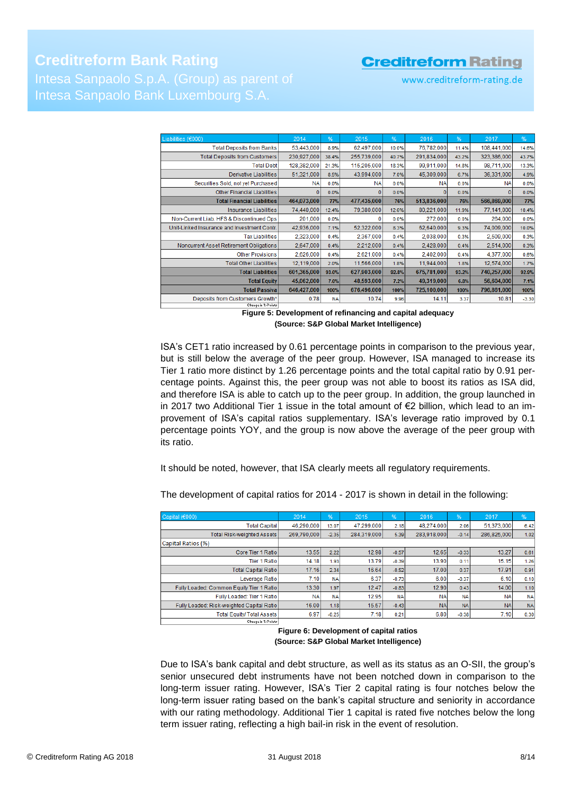# **Creditreform Bank Rating** Intesa Sanpaolo Bank Luxembourg S.A.

# **Creditreform Rating**

www.creditreform-rating.de

| %<br>2016<br>%<br>2014<br>%<br>2015<br>%<br>2017<br><b>Total Deposits from Banks</b><br>53,443,000<br>62,497,000<br>76,782,000<br>108,441,000<br>14.6%<br>8.9%<br>10.0%<br>11.4%<br>291,834,000<br><b>Total Deposits from Customers</b><br>230,927,000<br>255,739,000<br>323,386,000<br>40.7%<br>38.4%<br>43.2%<br>43.7%<br><b>Total Debt</b><br>128,382,000<br>115,205,000<br>99,911,000<br>98,711,000<br>13.3%<br>21.3%<br>18.3%<br>14.8%<br>Derivative Liabilities<br>51,321,000<br>43,994,000<br>45,309,000<br>36,331,000<br>4.9%<br>8.5%<br>7.0%<br>6.7%<br>Securities Sold, not yet Purchased<br><b>NA</b><br><b>NA</b><br><b>NA</b><br><b>NA</b><br>0.0%<br>0.0%<br>0.0%<br>0.0%<br><b>Other Financial Liabilities</b><br>0.0%<br>0<br>0.0%<br>0.0%<br>0<br>0.0%<br>0<br>0<br><b>Total Financial Liabilities</b><br>464,073,000<br>477,435,000<br>513,836,000<br>566,869,000<br>77%<br>77%<br>76%<br>76%<br>Insurance Liabilities<br>74,440,000<br>79,380,000<br>80,221,000<br>77,141,000<br>12.4%<br>12.6%<br>10.4%<br>11.9%<br>272,000<br>Non-Current Liab. HFS & Discontinued Ops<br>201,000<br>264,000<br>0.0%<br>0.0%<br>0.0%<br>0.0%<br>42,936,000<br>52,322,000<br>62,640,000<br>74,009,000<br>Unit-Linked Insurance and Investment Contr.<br>10.0%<br>7.1%<br>8.3%<br>9.3%<br>2,323,000<br>2,038,000<br><b>Tax Liabilities</b><br>2,367,000<br>2,509,000<br>0.3%<br>0.4%<br>0.4%<br>0.3%<br>Noncurrent Asset Retirement Obligations<br>2,212,000<br>2,428,000<br>0.3%<br>2,647,000<br>0.4%<br>0.4%<br>2,514,000<br>0.4%<br><b>Other Provisions</b><br>2,626,000<br>2,621,000<br>2,402,000<br>0.6%<br>4,377,000<br>0.4%<br>0.4%<br>0.4%<br>12.119.000<br>11,566,000<br>11,944,000<br>1.7%<br><b>Total Other Liabilities</b><br>12,574,000<br>2.0%<br>1.8%<br>1.8%<br><b>Total Liabilities</b><br>601,365,000<br>627,903,000<br>675,781,000<br>740,257,000<br>92.9%<br>92.8%<br>93.0%<br>93.2%<br><b>Total Equity</b><br>45,062,000<br>48,593,000<br>49,319,000<br>56,604,000<br>7.1%<br>7.0%<br>7.2%<br>6.8% |                    |  |  |  |  |
|----------------------------------------------------------------------------------------------------------------------------------------------------------------------------------------------------------------------------------------------------------------------------------------------------------------------------------------------------------------------------------------------------------------------------------------------------------------------------------------------------------------------------------------------------------------------------------------------------------------------------------------------------------------------------------------------------------------------------------------------------------------------------------------------------------------------------------------------------------------------------------------------------------------------------------------------------------------------------------------------------------------------------------------------------------------------------------------------------------------------------------------------------------------------------------------------------------------------------------------------------------------------------------------------------------------------------------------------------------------------------------------------------------------------------------------------------------------------------------------------------------------------------------------------------------------------------------------------------------------------------------------------------------------------------------------------------------------------------------------------------------------------------------------------------------------------------------------------------------------------------------------------------------------------------------------------------------------------------------------------------------------------------|--------------------|--|--|--|--|
|                                                                                                                                                                                                                                                                                                                                                                                                                                                                                                                                                                                                                                                                                                                                                                                                                                                                                                                                                                                                                                                                                                                                                                                                                                                                                                                                                                                                                                                                                                                                                                                                                                                                                                                                                                                                                                                                                                                                                                                                                            | Liabilities (€000) |  |  |  |  |
|                                                                                                                                                                                                                                                                                                                                                                                                                                                                                                                                                                                                                                                                                                                                                                                                                                                                                                                                                                                                                                                                                                                                                                                                                                                                                                                                                                                                                                                                                                                                                                                                                                                                                                                                                                                                                                                                                                                                                                                                                            |                    |  |  |  |  |
|                                                                                                                                                                                                                                                                                                                                                                                                                                                                                                                                                                                                                                                                                                                                                                                                                                                                                                                                                                                                                                                                                                                                                                                                                                                                                                                                                                                                                                                                                                                                                                                                                                                                                                                                                                                                                                                                                                                                                                                                                            |                    |  |  |  |  |
|                                                                                                                                                                                                                                                                                                                                                                                                                                                                                                                                                                                                                                                                                                                                                                                                                                                                                                                                                                                                                                                                                                                                                                                                                                                                                                                                                                                                                                                                                                                                                                                                                                                                                                                                                                                                                                                                                                                                                                                                                            |                    |  |  |  |  |
|                                                                                                                                                                                                                                                                                                                                                                                                                                                                                                                                                                                                                                                                                                                                                                                                                                                                                                                                                                                                                                                                                                                                                                                                                                                                                                                                                                                                                                                                                                                                                                                                                                                                                                                                                                                                                                                                                                                                                                                                                            |                    |  |  |  |  |
|                                                                                                                                                                                                                                                                                                                                                                                                                                                                                                                                                                                                                                                                                                                                                                                                                                                                                                                                                                                                                                                                                                                                                                                                                                                                                                                                                                                                                                                                                                                                                                                                                                                                                                                                                                                                                                                                                                                                                                                                                            |                    |  |  |  |  |
|                                                                                                                                                                                                                                                                                                                                                                                                                                                                                                                                                                                                                                                                                                                                                                                                                                                                                                                                                                                                                                                                                                                                                                                                                                                                                                                                                                                                                                                                                                                                                                                                                                                                                                                                                                                                                                                                                                                                                                                                                            |                    |  |  |  |  |
|                                                                                                                                                                                                                                                                                                                                                                                                                                                                                                                                                                                                                                                                                                                                                                                                                                                                                                                                                                                                                                                                                                                                                                                                                                                                                                                                                                                                                                                                                                                                                                                                                                                                                                                                                                                                                                                                                                                                                                                                                            |                    |  |  |  |  |
|                                                                                                                                                                                                                                                                                                                                                                                                                                                                                                                                                                                                                                                                                                                                                                                                                                                                                                                                                                                                                                                                                                                                                                                                                                                                                                                                                                                                                                                                                                                                                                                                                                                                                                                                                                                                                                                                                                                                                                                                                            |                    |  |  |  |  |
|                                                                                                                                                                                                                                                                                                                                                                                                                                                                                                                                                                                                                                                                                                                                                                                                                                                                                                                                                                                                                                                                                                                                                                                                                                                                                                                                                                                                                                                                                                                                                                                                                                                                                                                                                                                                                                                                                                                                                                                                                            |                    |  |  |  |  |
|                                                                                                                                                                                                                                                                                                                                                                                                                                                                                                                                                                                                                                                                                                                                                                                                                                                                                                                                                                                                                                                                                                                                                                                                                                                                                                                                                                                                                                                                                                                                                                                                                                                                                                                                                                                                                                                                                                                                                                                                                            |                    |  |  |  |  |
|                                                                                                                                                                                                                                                                                                                                                                                                                                                                                                                                                                                                                                                                                                                                                                                                                                                                                                                                                                                                                                                                                                                                                                                                                                                                                                                                                                                                                                                                                                                                                                                                                                                                                                                                                                                                                                                                                                                                                                                                                            |                    |  |  |  |  |
|                                                                                                                                                                                                                                                                                                                                                                                                                                                                                                                                                                                                                                                                                                                                                                                                                                                                                                                                                                                                                                                                                                                                                                                                                                                                                                                                                                                                                                                                                                                                                                                                                                                                                                                                                                                                                                                                                                                                                                                                                            |                    |  |  |  |  |
|                                                                                                                                                                                                                                                                                                                                                                                                                                                                                                                                                                                                                                                                                                                                                                                                                                                                                                                                                                                                                                                                                                                                                                                                                                                                                                                                                                                                                                                                                                                                                                                                                                                                                                                                                                                                                                                                                                                                                                                                                            |                    |  |  |  |  |
|                                                                                                                                                                                                                                                                                                                                                                                                                                                                                                                                                                                                                                                                                                                                                                                                                                                                                                                                                                                                                                                                                                                                                                                                                                                                                                                                                                                                                                                                                                                                                                                                                                                                                                                                                                                                                                                                                                                                                                                                                            |                    |  |  |  |  |
|                                                                                                                                                                                                                                                                                                                                                                                                                                                                                                                                                                                                                                                                                                                                                                                                                                                                                                                                                                                                                                                                                                                                                                                                                                                                                                                                                                                                                                                                                                                                                                                                                                                                                                                                                                                                                                                                                                                                                                                                                            |                    |  |  |  |  |
|                                                                                                                                                                                                                                                                                                                                                                                                                                                                                                                                                                                                                                                                                                                                                                                                                                                                                                                                                                                                                                                                                                                                                                                                                                                                                                                                                                                                                                                                                                                                                                                                                                                                                                                                                                                                                                                                                                                                                                                                                            |                    |  |  |  |  |
| <b>Total Passival</b><br>646,427,000<br>676,496,000<br>725,100,000<br>796,861,000<br>100%<br>100%<br>100%<br>100%                                                                                                                                                                                                                                                                                                                                                                                                                                                                                                                                                                                                                                                                                                                                                                                                                                                                                                                                                                                                                                                                                                                                                                                                                                                                                                                                                                                                                                                                                                                                                                                                                                                                                                                                                                                                                                                                                                          |                    |  |  |  |  |
| 0.78<br>10.74<br>Deposits from Customers Growth*<br>14.11<br>10.81<br>$-3.30$<br>9.96<br><b>NA</b><br>3.37                                                                                                                                                                                                                                                                                                                                                                                                                                                                                                                                                                                                                                                                                                                                                                                                                                                                                                                                                                                                                                                                                                                                                                                                                                                                                                                                                                                                                                                                                                                                                                                                                                                                                                                                                                                                                                                                                                                 |                    |  |  |  |  |

**Figure 5: Development of refinancing and capital adequacy (Source: S&P Global Market Intelligence)**

ISA's CET1 ratio increased by 0.61 percentage points in comparison to the previous year, but is still below the average of the peer group. However, ISA managed to increase its Tier 1 ratio more distinct by 1.26 percentage points and the total capital ratio by 0.91 percentage points. Against this, the peer group was not able to boost its ratios as ISA did, and therefore ISA is able to catch up to the peer group. In addition, the group launched in in 2017 two Additional Tier 1 issue in the total amount of €2 billion, which lead to an improvement of ISA's capital ratios supplementary. ISA's leverage ratio improved by 0.1 percentage points YOY, and the group is now above the average of the peer group with its ratio.

It should be noted, however, that ISA clearly meets all regulatory requirements.

| Capital (€000)                            | 2014        | $96^{\circ}$ | 2015        | $96^{\circ}$ | 2016        | 96'       | 2017        | $\frac{9}{6}$ |
|-------------------------------------------|-------------|--------------|-------------|--------------|-------------|-----------|-------------|---------------|
| <b>Total Capital</b>                      | 46.290.000  | 13.07        | 47,299,000  | 2.18         | 48,274,000  | 2.06      | 51,373,000  | 6.42          |
| Total Risk-weighted Assets                | 269,790,000 | $-2.35$      | 284,319,000 | 5.39         | 283,918,000 | $-0.14$   | 286,825,000 | 1.02          |
| Capital Ratios (%)                        |             |              |             |              |             |           |             |               |
| Core Tier 1 Ratio                         | 13.55       | 2.22         | 12.98       | $-0.57$      | 12.65       | $-0.33$   | 13.27       | 0.61          |
| <b>Tier 1 Ratiol</b>                      | 14.18       | 1.93         | 13.79       | $-0.39$      | 13.90       | 0.11      | 15.15       | 1.26          |
| <b>Total Capital Ratio</b>                | 17.16       | 2.34         | 16.64       | $-0.52$      | 17.00       | 0.37      | 17.91       | 0.91          |
| Leverage Ratio                            | 7.10        | <b>NA</b>    | 6.37        | $-0.73$      | 6.00        | $-0.37$   | 6.10        | 0.10          |
| Fully Loaded: Common Equity Tier 1 Ratio  | 13.30       | 1.97         | 12.47       | $-0.83$      | 12.90       | 0.43      | 14.00       | 1.10          |
| Fully Loaded: Tier 1 Ratio                | <b>NA</b>   | <b>NA</b>    | 12.95       | <b>NA</b>    | <b>NA</b>   | <b>NA</b> | <b>NA</b>   | <b>NA</b>     |
| Fully Loaded: Risk-weighted Capital Ratio | 16.00       | 1.18         | 15.57       | $-0.43$      | <b>NA</b>   | <b>NA</b> | <b>NA</b>   | <b>NA</b>     |
| <b>Total Equity/ Total Assets</b>         | 6.97        | $-0.25$      | 7.18        | 0.21         | 6.80        | $-0.38$   | 7.10        | 0.30          |
| Change in X-Points                        |             |              |             |              |             |           |             |               |

The development of capital ratios for 2014 - 2017 is shown in detail in the following:

**Figure 6: Development of capital ratios (Source: S&P Global Market Intelligence)**

<span id="page-7-0"></span>Due to ISA's bank capital and debt structure, as well as its status as an O-SII, the group's senior unsecured debt instruments have not been notched down in comparison to the long-term issuer rating. However, ISA's Tier 2 capital rating is four notches below the long-term issuer rating based on the bank's capital structure and seniority in accordance with our rating methodology. Additional Tier 1 capital is rated five notches below the long term issuer rating, reflecting a high bail-in risk in the event of resolution.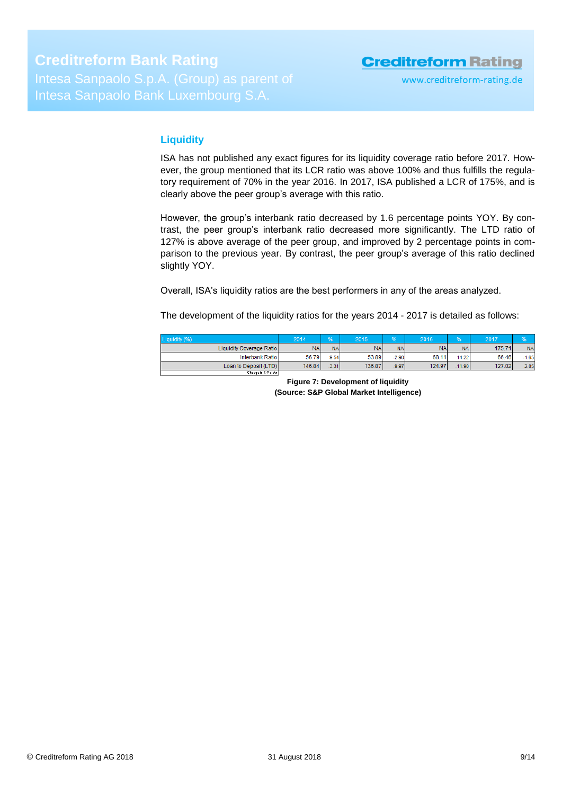## **Liquidity**

ISA has not published any exact figures for its liquidity coverage ratio before 2017. However, the group mentioned that its LCR ratio was above 100% and thus fulfills the regulatory requirement of 70% in the year 2016. In 2017, ISA published a LCR of 175%, and is clearly above the peer group's average with this ratio.

However, the group's interbank ratio decreased by 1.6 percentage points YOY. By contrast, the peer group's interbank ratio decreased more significantly. The LTD ratio of 127% is above average of the peer group, and improved by 2 percentage points in comparison to the previous year. By contrast, the peer group's average of this ratio declined slightly YOY.

Overall, ISA's liquidity ratios are the best performers in any of the areas analyzed.

The development of the liquidity ratios for the years 2014 - 2017 is detailed as follows:

<span id="page-8-0"></span>

| Liquidity (%)            | 2014       |           | 2015      | 0.0       | 2016            | 04              | 2017   |           |
|--------------------------|------------|-----------|-----------|-----------|-----------------|-----------------|--------|-----------|
| Liquidity Coverage Ratio | <b>NAI</b> | <b>NA</b> | <b>NA</b> | <b>NA</b> | NA <sub>1</sub> | NA <sub>1</sub> | 175.71 | <b>NA</b> |
| Interbank Ratio          | 56.79      | 9.54      | 53.89     | $-2.90$   | 68.11           | 14.22           | 66.46  | $-1.65$   |
| Loan to Deposit (LTD)    | 146.84     | $-3.31$   | 136.87    | $-9.97$   | 124.97          | $-11.90$        | 127.02 | 2.05      |
| Change in Z-Points       |            |           |           |           |                 |                 |        |           |

**Figure 7: Development of liquidity (Source: S&P Global Market Intelligence)**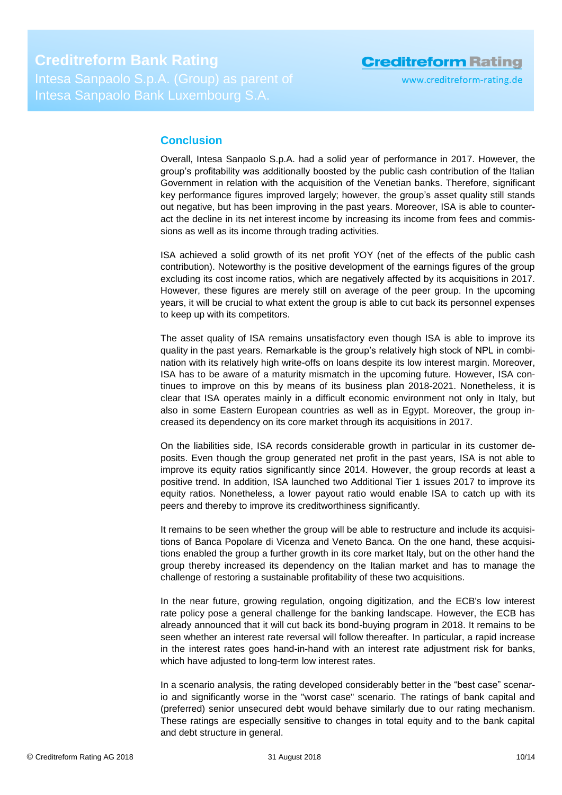# **Conclusion**

Overall, Intesa Sanpaolo S.p.A. had a solid year of performance in 2017. However, the group's profitability was additionally boosted by the public cash contribution of the Italian Government in relation with the acquisition of the Venetian banks. Therefore, significant key performance figures improved largely; however, the group's asset quality still stands out negative, but has been improving in the past years. Moreover, ISA is able to counteract the decline in its net interest income by increasing its income from fees and commissions as well as its income through trading activities.

ISA achieved a solid growth of its net profit YOY (net of the effects of the public cash contribution). Noteworthy is the positive development of the earnings figures of the group excluding its cost income ratios, which are negatively affected by its acquisitions in 2017. However, these figures are merely still on average of the peer group. In the upcoming years, it will be crucial to what extent the group is able to cut back its personnel expenses to keep up with its competitors.

The asset quality of ISA remains unsatisfactory even though ISA is able to improve its quality in the past years. Remarkable is the group's relatively high stock of NPL in combination with its relatively high write-offs on loans despite its low interest margin. Moreover, ISA has to be aware of a maturity mismatch in the upcoming future. However, ISA continues to improve on this by means of its business plan 2018-2021. Nonetheless, it is clear that ISA operates mainly in a difficult economic environment not only in Italy, but also in some Eastern European countries as well as in Egypt. Moreover, the group increased its dependency on its core market through its acquisitions in 2017.

On the liabilities side, ISA records considerable growth in particular in its customer deposits. Even though the group generated net profit in the past years, ISA is not able to improve its equity ratios significantly since 2014. However, the group records at least a positive trend. In addition, ISA launched two Additional Tier 1 issues 2017 to improve its equity ratios. Nonetheless, a lower payout ratio would enable ISA to catch up with its peers and thereby to improve its creditworthiness significantly.

It remains to be seen whether the group will be able to restructure and include its acquisitions of Banca Popolare di Vicenza and Veneto Banca. On the one hand, these acquisitions enabled the group a further growth in its core market Italy, but on the other hand the group thereby increased its dependency on the Italian market and has to manage the challenge of restoring a sustainable profitability of these two acquisitions.

In the near future, growing regulation, ongoing digitization, and the ECB's low interest rate policy pose a general challenge for the banking landscape. However, the ECB has already announced that it will cut back its bond-buying program in 2018. It remains to be seen whether an interest rate reversal will follow thereafter. In particular, a rapid increase in the interest rates goes hand-in-hand with an interest rate adjustment risk for banks, which have adjusted to long-term low interest rates.

In a scenario analysis, the rating developed considerably better in the "best case" scenario and significantly worse in the "worst case" scenario. The ratings of bank capital and (preferred) senior unsecured debt would behave similarly due to our rating mechanism. These ratings are especially sensitive to changes in total equity and to the bank capital and debt structure in general.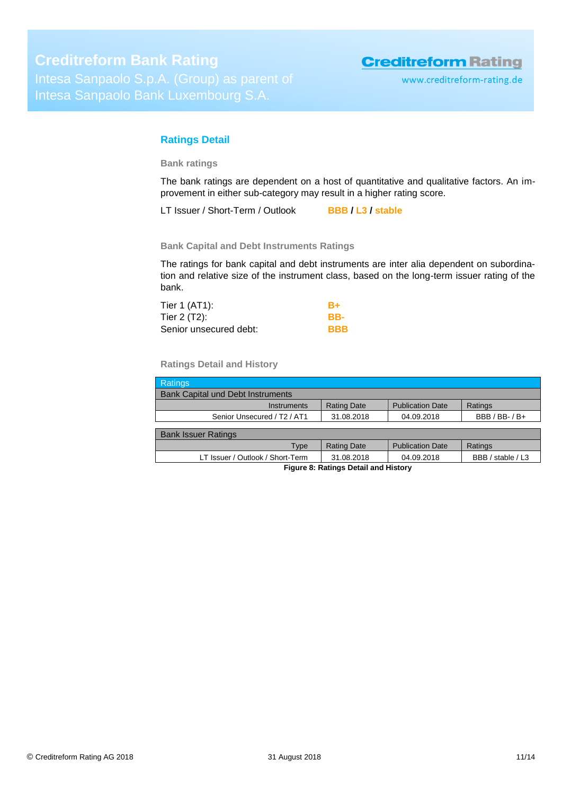# <span id="page-10-0"></span>**Ratings Detail**

**Bank ratings**

The bank ratings are dependent on a host of quantitative and qualitative factors. An improvement in either sub-category may result in a higher rating score.

LT Issuer / Short-Term / Outlook **BBB / L3 / stable**

**Bank Capital and Debt Instruments Ratings**

The ratings for bank capital and debt instruments are inter alia dependent on subordination and relative size of the instrument class, based on the long-term issuer rating of the bank.

| Tier 1 (AT1):          | B+         |
|------------------------|------------|
| Tier 2 (T2):           | RR-        |
| Senior unsecured debt: | <b>BBB</b> |

**Ratings Detail and History**

| <b>Ratings</b>                                      |                    |                         |                   |  |  |  |
|-----------------------------------------------------|--------------------|-------------------------|-------------------|--|--|--|
| <b>Bank Capital und Debt Instruments</b>            |                    |                         |                   |  |  |  |
| Instruments                                         | <b>Rating Date</b> | <b>Publication Date</b> | Ratings           |  |  |  |
| Senior Unsecured / T <sub>2</sub> / AT <sub>1</sub> | 31.08.2018         | 04.09.2018              | $BBB / BB$ -/B+   |  |  |  |
|                                                     |                    |                         |                   |  |  |  |
| <b>Bank Issuer Ratings</b>                          |                    |                         |                   |  |  |  |
| Type                                                | <b>Rating Date</b> | <b>Publication Date</b> | Ratings           |  |  |  |
| LT Issuer / Outlook / Short-Term                    | 31.08.2018         | 04.09.2018              | BBB / stable / L3 |  |  |  |
| Figure 8: Ratings Detail and History                |                    |                         |                   |  |  |  |

**Figure 8: Ratings Detail and History**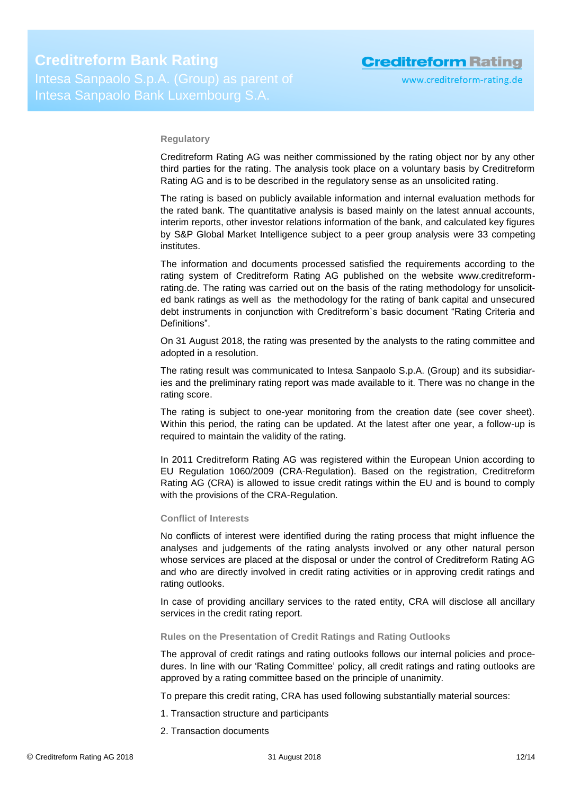### **Regulatory**

Creditreform Rating AG was neither commissioned by the rating object nor by any other third parties for the rating. The analysis took place on a voluntary basis by Creditreform Rating AG and is to be described in the regulatory sense as an unsolicited rating.

The rating is based on publicly available information and internal evaluation methods for the rated bank. The quantitative analysis is based mainly on the latest annual accounts, interim reports, other investor relations information of the bank, and calculated key figures by S&P Global Market Intelligence subject to a peer group analysis were 33 competing institutes.

The information and documents processed satisfied the requirements according to the rating system of Creditreform Rating AG published on the website www.creditreformrating.de. The rating was carried out on the basis of the rating methodology for unsolicited bank ratings as well as the methodology for the rating of bank capital and unsecured debt instruments in conjunction with Creditreform`s basic document "Rating Criteria and Definitions".

On 31 August 2018, the rating was presented by the analysts to the rating committee and adopted in a resolution.

The rating result was communicated to Intesa Sanpaolo S.p.A. (Group) and its subsidiaries and the preliminary rating report was made available to it. There was no change in the rating score.

The rating is subject to one-year monitoring from the creation date (see cover sheet). Within this period, the rating can be updated. At the latest after one year, a follow-up is required to maintain the validity of the rating.

In 2011 Creditreform Rating AG was registered within the European Union according to EU Regulation 1060/2009 (CRA-Regulation). Based on the registration, Creditreform Rating AG (CRA) is allowed to issue credit ratings within the EU and is bound to comply with the provisions of the CRA-Regulation.

### **Conflict of Interests**

No conflicts of interest were identified during the rating process that might influence the analyses and judgements of the rating analysts involved or any other natural person whose services are placed at the disposal or under the control of Creditreform Rating AG and who are directly involved in credit rating activities or in approving credit ratings and rating outlooks.

In case of providing ancillary services to the rated entity, CRA will disclose all ancillary services in the credit rating report.

### **Rules on the Presentation of Credit Ratings and Rating Outlooks**

The approval of credit ratings and rating outlooks follows our internal policies and procedures. In line with our 'Rating Committee' policy, all credit ratings and rating outlooks are approved by a rating committee based on the principle of unanimity.

To prepare this credit rating, CRA has used following substantially material sources:

- 1. Transaction structure and participants
- 2. Transaction documents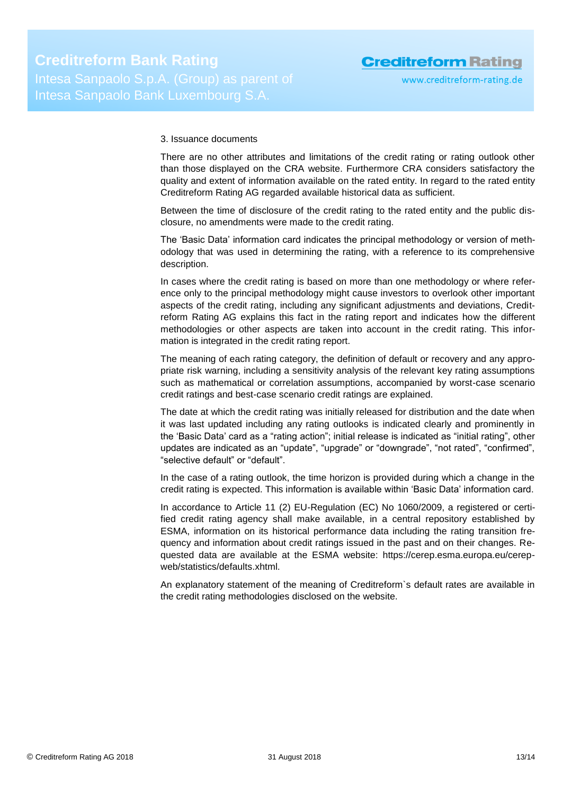### 3. Issuance documents

There are no other attributes and limitations of the credit rating or rating outlook other than those displayed on the CRA website. Furthermore CRA considers satisfactory the quality and extent of information available on the rated entity. In regard to the rated entity Creditreform Rating AG regarded available historical data as sufficient.

Between the time of disclosure of the credit rating to the rated entity and the public disclosure, no amendments were made to the credit rating.

The 'Basic Data' information card indicates the principal methodology or version of methodology that was used in determining the rating, with a reference to its comprehensive description.

In cases where the credit rating is based on more than one methodology or where reference only to the principal methodology might cause investors to overlook other important aspects of the credit rating, including any significant adjustments and deviations, Creditreform Rating AG explains this fact in the rating report and indicates how the different methodologies or other aspects are taken into account in the credit rating. This information is integrated in the credit rating report.

The meaning of each rating category, the definition of default or recovery and any appropriate risk warning, including a sensitivity analysis of the relevant key rating assumptions such as mathematical or correlation assumptions, accompanied by worst-case scenario credit ratings and best-case scenario credit ratings are explained.

The date at which the credit rating was initially released for distribution and the date when it was last updated including any rating outlooks is indicated clearly and prominently in the 'Basic Data' card as a "rating action"; initial release is indicated as "initial rating", other updates are indicated as an "update", "upgrade" or "downgrade", "not rated", "confirmed", "selective default" or "default".

In the case of a rating outlook, the time horizon is provided during which a change in the credit rating is expected. This information is available within 'Basic Data' information card.

In accordance to Article 11 (2) EU-Regulation (EC) No 1060/2009, a registered or certified credit rating agency shall make available, in a central repository established by ESMA, information on its historical performance data including the rating transition frequency and information about credit ratings issued in the past and on their changes. Requested data are available at the ESMA website: https://cerep.esma.europa.eu/cerepweb/statistics/defaults.xhtml.

An explanatory statement of the meaning of Creditreform`s default rates are available in the credit rating methodologies disclosed on the website.